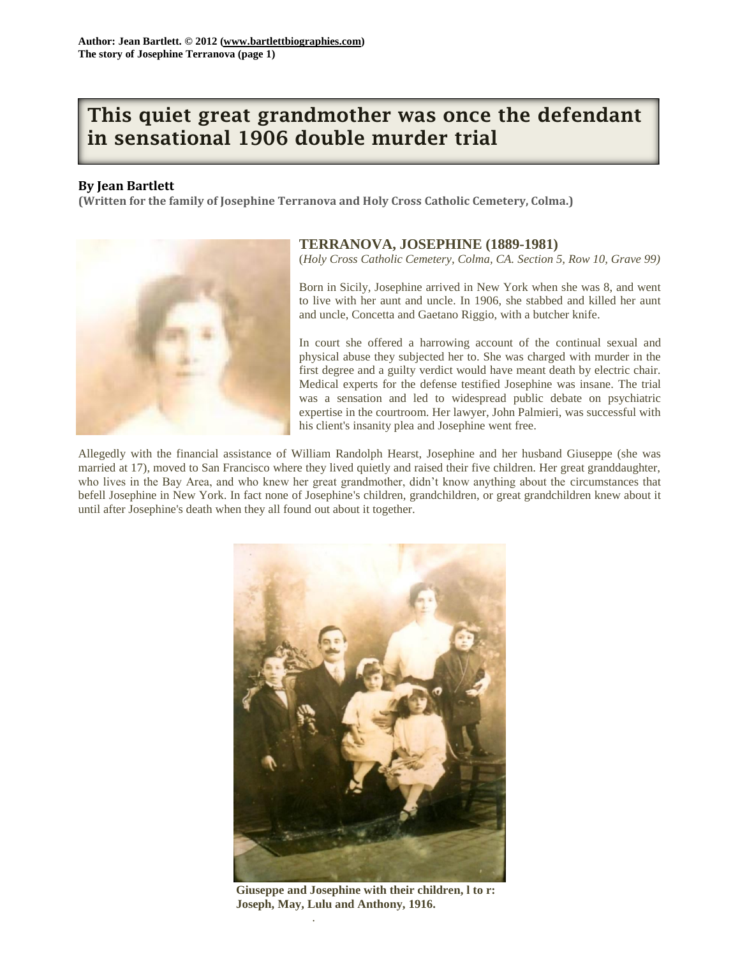## **This quiet great grandmother was once the defendant in sensational 1906 double murder trial**

## **By Jean Bartlett**

**(Written for the family of Josephine Terranova and Holy Cross Catholic Cemetery, Colma.)**



## **TERRANOVA, JOSEPHINE (1889-1981)**

(*Holy Cross Catholic Cemetery, Colma, CA. Section 5, Row 10, Grave 99)*

Born in Sicily, Josephine arrived in New York when she was 8, and went to live with her aunt and uncle. In 1906, she stabbed and killed her aunt and uncle, Concetta and Gaetano Riggio, with a butcher knife.

In court she offered a harrowing account of the continual sexual and physical abuse they subjected her to. She was charged with murder in the first degree and a guilty verdict would have meant death by electric chair. Medical experts for the defense testified Josephine was insane. The trial was a sensation and led to widespread public debate on psychiatric expertise in the courtroom. Her lawyer, John Palmieri, was successful with his client's insanity plea and Josephine went free.

Allegedly with the financial assistance of William Randolph Hearst, Josephine and her husband Giuseppe (she was married at 17), moved to San Francisco where they lived quietly and raised their five children. Her great granddaughter, who lives in the Bay Area, and who knew her great grandmother, didn't know anything about the circumstances that befell Josephine in New York. In fact none of Josephine's children, grandchildren, or great grandchildren knew about it until after Josephine's death when they all found out about it together.



**Giuseppe and Josephine with their children, l to r: Joseph, May, Lulu and Anthony, 1916.**

.